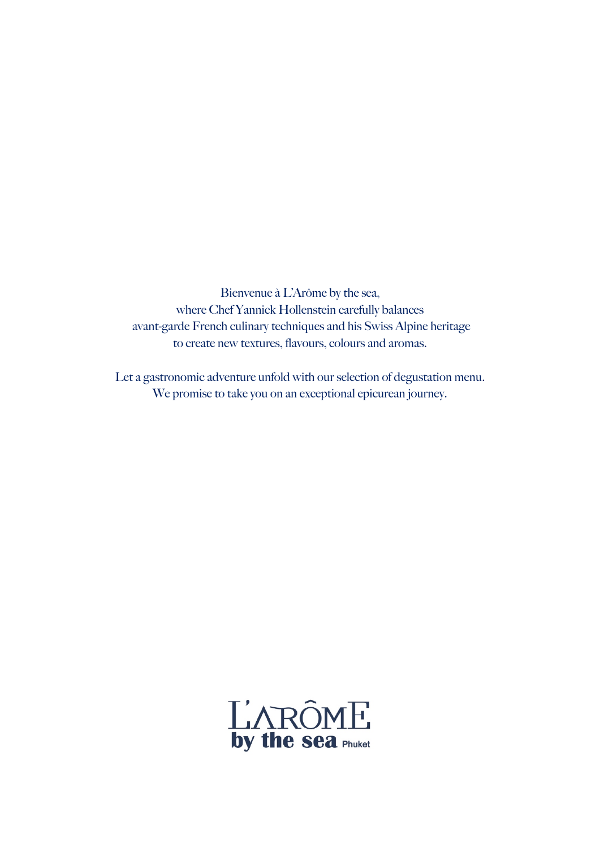Bienvenue à L'Arôme by the sea, where Chef Yannick Hollenstein carefully balances avant-garde French culinary techniques and his Swiss Alpine heritage to create new textures, flavours, colours and aromas.

Let a gastronomic adventure unfold with our selection of degustation menu. We promise to take you on an exceptional epicurean journey.

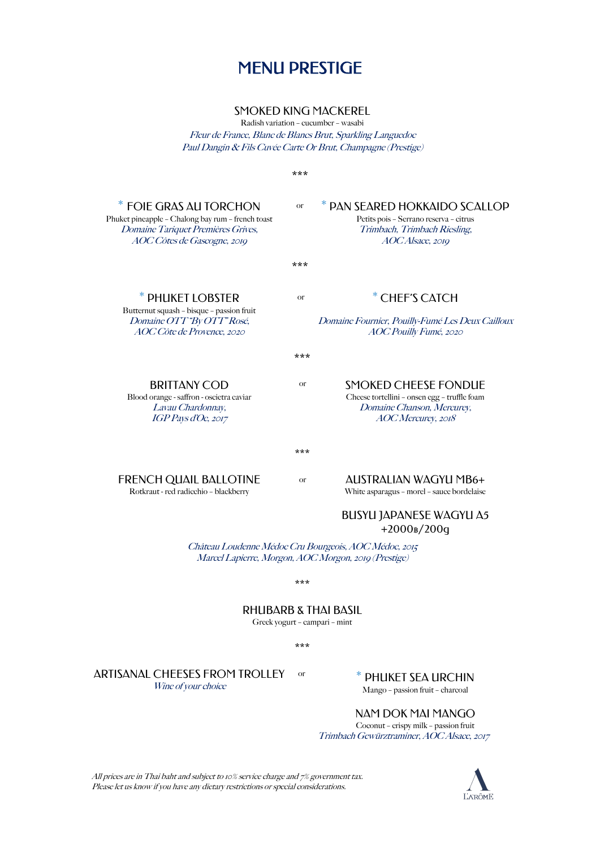## MENU PRESTIGE

#### SMOKED KING MACKEREL

Radish variation – cucumber – wasabi Fleur de France, Blanc de Blancs Brut, Sparkling Languedoc Paul Dangin & Fils Cuvée Carte Or Brut, Champagne (Prestige)

\*\*\* \* FOIE GRAS AU TORCHON Phuket pineapple – Chalong bay rum – french toast Domaine Tariquet Premières Grives, AOC Côtes de Gascogne, 2019 PAN SEARED HOKKAIDO SCALLOP Petits pois – Serrano reserva – citrus Trimbach, Trimbach Riesling, AOC Alsace, 2019 \*\*\* \* PHUKET LOBSTER Butternut squash – bisque – passion fruit Domaine OTT "By OTT" Rosé, AOC Côte de Provence, 2020 \* CHEF'S CATCH Domaine Fournier, Pouilly-Fumé Les Deux Cailloux AOC Pouilly Fumé, 2020 \*\*\* BRITTANY COD Blood orange - saffron - oscietra caviar Lavau Chardonnay, IGP Pays d'Oc, 2017 SMOKED CHEESE FONDUE Cheese tortellini – onsen egg – truffle foam Domaine Chanson, Mercurey, AOC Mercurey, 2018 \*\*\* FRENCH QUAIL BALLOTINE Rotkraut - red radicchio – blackberry AUSTRALIAN WAGYU MB6+ White asparagus – morel – sauce bordelaise BUSYU JAPANESE WAGYU A5 +2000฿/200g Château Loudenne Médoc Cru Bourgeois, AOC Médoc, 2015 Marcel Lapierre, Morgon, AOC Morgon, 2019 (Prestige) \*\*\* RHUBARB & THAI BASIL Greek yogurt – campari – mint \*\*\* or or or or

or

ARTISANAL CHEESES FROM TROLLEY Wine of your choice

PHUKET SEA URCHIN

Mango – passion fruit – charcoal

#### NAM DOK MAI MANGO

Coconut – crispy milk – passion fruit Trimbach Gewürztraminer, AOC Alsace, 2017

All prices are in Thai baht and subject to 10% service charge and 7% government tax. Please let us know if you have any dietary restrictions or special considerations.

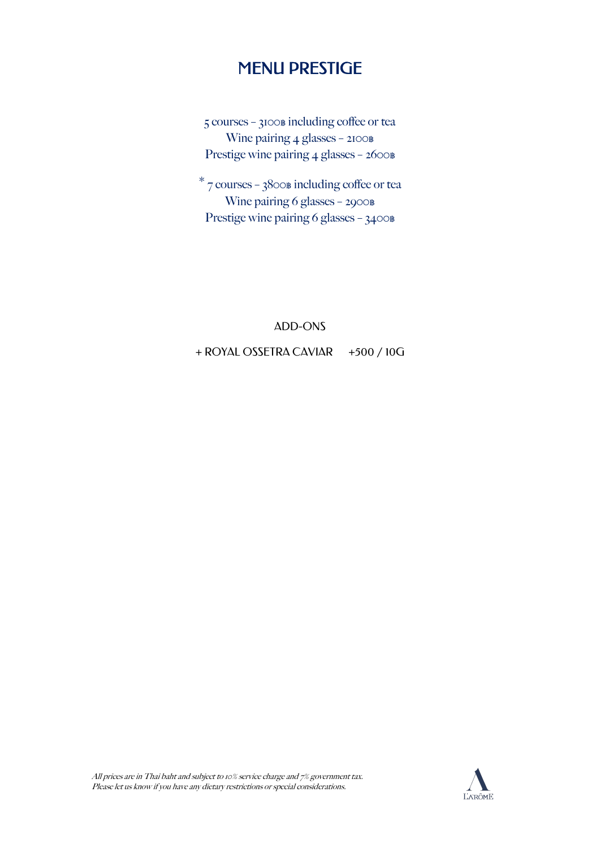## MENU PRESTIGE

5 courses - 3100฿ including coffee or tea Wine pairing 4 glasses - 2100฿ Prestige wine pairing 4 glasses - 2600฿

 $*$  7 courses – 3800 $\text{\tiny B}$  including coffee or tea Wine pairing 6 glasses – 2900฿ Prestige wine pairing 6 glasses - 3400฿

### ADD-ONS

### + ROYAL OSSETRA CAVIAR +500 / 10G

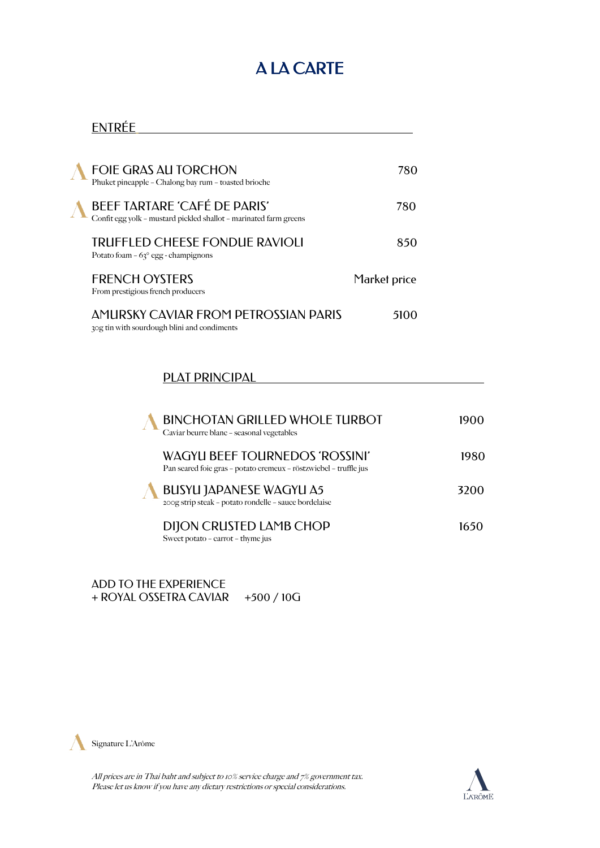# A LA CARTE

### ENTRÉE

| FOIE GRAS AU TORCHON<br>Phuket pineapple - Chalong bay rum - toasted brioche                      | 780          |
|---------------------------------------------------------------------------------------------------|--------------|
| BEEF TARTARE 'CAFÉ DE PARIS'<br>Confit egg yolk – mustard pickled shallot – marinated farm greens | 780          |
| <b>TRUFFLED CHEESE FONDUE RAVIOLI</b><br>Potato foam – $63^{\circ}$ egg - champignons             | 850          |
| <b>FRENCH OYSTERS</b><br>From prestigious french producers                                        | Market price |
| <b>AMURSKY CAVIAR FROM PETROSSIAN PARIS</b><br>30g tin with sourdough blini and condiments        | 5100         |

### PLAT PRINCIPAL

| <b>BINCHOTAN GRILLED WHOLE TURBOT</b><br>Caviar beurre blanc - seasonal vegetables                         | 1900 |
|------------------------------------------------------------------------------------------------------------|------|
| <b>WAGYU BEEF TOURNEDOS 'ROSSINI'</b><br>Pan seared foie gras – potato cremeux – röstzwiebel – truffle jus | 1980 |
| <b>BUSYU JAPANESE WAGYU A5</b><br>200g strip steak - potato rondelle - sauce bordelaise                    | 3200 |
| <b>DIJON CRUSTED LAMB CHOP</b><br>Sweet potato - carrot - thyme jus                                        | 1650 |

ADD TO THE EXPERIENCE + ROYAL OSSETRA CAVIAR +500 / 10G



All prices are in Thai baht and subject to 10% service charge and 7% government tax. Please let us know if you have any dietary restrictions or special considerations.